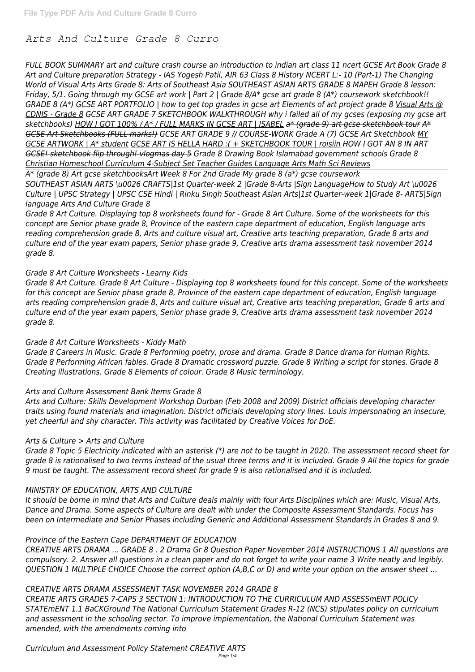# *Arts And Culture Grade 8 Curro*

*FULL BOOK SUMMARY art and culture crash course an introduction to indian art class 11 ncert GCSE Art Book Grade 8 Art and Culture preparation Strategy - IAS Yogesh Patil, AIR 63 Class 8 History NCERT L:- 10 (Part-1) The Changing World of Visual Arts Arts Grade 8: Arts of Southeast Asia SOUTHEAST ASIAN ARTS GRADE 8 MAPEH Grade 8 lesson: Friday, 5/1. Going through my GCSE art work | Part 2 | Grade 8/A\* gcse art grade 8 (A\*) coursework sketchbook!! GRADE 8 (A\*) GCSE ART PORTFOLIO | how to get top grades in gcse art Elements of art project grade 8 Visual Arts @ CDNIS - Grade 8 GCSE ART GRADE 7 SKETCHBOOK WALKTHROUGH why i failed all of my gcses (exposing my gcse art sketchbooks) HOW I GOT 100% / A\* / FULL MARKS IN GCSE ART | ISABEL a\* (grade 9) art gcse sketchbook tour A\* GCSE Art Sketchbooks (FULL marks!) GCSE ART GRADE 9 // COURSE-WORK Grade A (7) GCSE Art Sketchbook MY GCSE ARTWORK | A\* student GCSE ART IS HELLA HARD :( + SKETCHBOOK TOUR | roisiin HOW I GOT AN 8 IN ART GCSE! sketchbook flip through! vlogmas day 5 Grade 8 Drawing Book Islamabad government schools Grade 8 Christian Homeschool Curriculum 4-Subject Set Teacher Guides Language Arts Math Sci Reviews*

*A\* (grade 8) Art gcse sketchbooksArt Week 8 For 2nd Grade My grade 8 (a\*) gcse coursework*

*SOUTHEAST ASIAN ARTS \u0026 CRAFTS|1st Quarter-week 2 |Grade 8-Arts |Sign LanguageHow to Study Art \u0026 Culture | UPSC Strategy | UPSC CSE Hindi | Rinku Singh Southeast Asian Arts|1st Quarter-week 1|Grade 8- ARTS|Sign language Arts And Culture Grade 8*

*Grade 8 Art Culture. Displaying top 8 worksheets found for - Grade 8 Art Culture. Some of the worksheets for this concept are Senior phase grade 8, Province of the eastern cape department of education, English language arts reading comprehension grade 8, Arts and culture visual art, Creative arts teaching preparation, Grade 8 arts and culture end of the year exam papers, Senior phase grade 9, Creative arts drama assessment task november 2014 grade 8.*

# *Grade 8 Art Culture Worksheets - Learny Kids*

*Grade 8 Art Culture. Grade 8 Art Culture - Displaying top 8 worksheets found for this concept. Some of the worksheets for this concept are Senior phase grade 8, Province of the eastern cape department of education, English language arts reading comprehension grade 8, Arts and culture visual art, Creative arts teaching preparation, Grade 8 arts and culture end of the year exam papers, Senior phase grade 9, Creative arts drama assessment task november 2014 grade 8.*

# *Grade 8 Art Culture Worksheets - Kiddy Math*

*Grade 8 Careers in Music. Grade 8 Performing poetry, prose and drama. Grade 8 Dance drama for Human Rights. Grade 8 Performing African fables. Grade 8 Dramatic crossword puzzle. Grade 8 Writing a script for stories. Grade 8 Creating illustrations. Grade 8 Elements of colour. Grade 8 Music terminology.*

# *Arts and Culture Assessment Bank Items Grade 8*

*Arts and Culture: Skills Development Workshop Durban (Feb 2008 and 2009) District officials developing character traits using found materials and imagination. District officials developing story lines. Louis impersonating an insecure, yet cheerful and shy character. This activity was facilitated by Creative Voices for DoE.*

#### *Arts & Culture > Arts and Culture*

*Grade 8 Topic 5 Electricity indicated with an asterisk (\*) are not to be taught in 2020. The assessment record sheet for grade 8 is rationalised to two terms instead of the usual three terms and it is included. Grade 9 All the topics for grade 9 must be taught. The assessment record sheet for grade 9 is also rationalised and it is included.*

# *MINISTRY OF EDUCATION, ARTS AND CULTURE*

*It should be borne in mind that Arts and Culture deals mainly with four Arts Disciplines which are: Music, Visual Arts, Dance and Drama. Some aspects of Culture are dealt with under the Composite Assessment Standards. Focus has been on Intermediate and Senior Phases including Generic and Additional Assessment Standards in Grades 8 and 9.*

#### *Province of the Eastern Cape DEPARTMENT OF EDUCATION*

*CREATIVE ARTS DRAMA ... GRADE 8 . 2 Drama Gr 8 Question Paper November 2014 INSTRUCTIONS 1 All questions are compulsory. 2. Answer all questions in a clean paper and do not forget to write your name 3 Write neatly and legibly. QUESTION 1 MULTIPLE CHOICE Choose the correct option (A,B,C or D) and write your option on the answer sheet ...*

#### *CREATIVE ARTS DRAMA ASSESSMENT TASK NOVEMBER 2014 GRADE 8*

*CREATIE ARTS GRADES 7-CAPS 3 SECTION 1: INTRODUCTION TO THE CURRICULUM AND ASSESSmENT POLICy STATEmENT 1.1 BaCKGround The National Curriculum Statement Grades R-12 (NCS) stipulates policy on curriculum and assessment in the schooling sector. To improve implementation, the National Curriculum Statement was amended, with the amendments coming into*

*Curriculum and Assessment Policy Statement CREATIVE ARTS*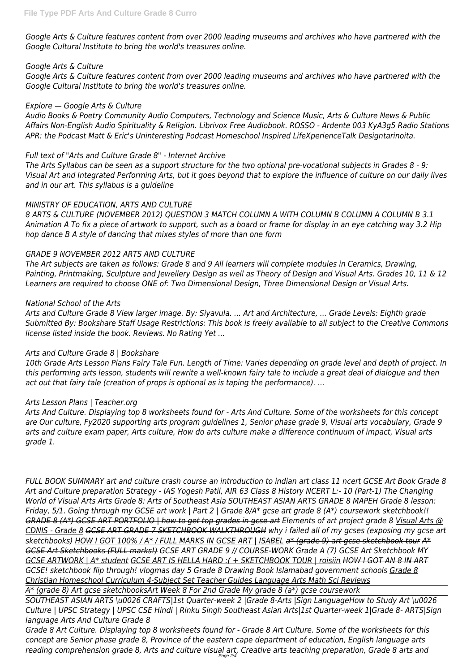*Google Arts & Culture features content from over 2000 leading museums and archives who have partnered with the Google Cultural Institute to bring the world's treasures online.*

### *Google Arts & Culture*

*Google Arts & Culture features content from over 2000 leading museums and archives who have partnered with the Google Cultural Institute to bring the world's treasures online.*

# *Explore — Google Arts & Culture*

*Audio Books & Poetry Community Audio Computers, Technology and Science Music, Arts & Culture News & Public Affairs Non-English Audio Spirituality & Religion. Librivox Free Audiobook. ROSSO - Ardente 003 KyA3g5 Radio Stations APR: the Podcast Matt & Eric's Uninteresting Podcast Homeschool Inspired LifeXperienceTalk Designtarinoita.*

# *Full text of "Arts and Culture Grade 8" - Internet Archive*

*The Arts Syllabus can be seen as a support structure for the two optional pre-vocational subjects in Grades 8 - 9: Visual Art and Integrated Performing Arts, but it goes beyond that to explore the influence of culture on our daily lives and in our art. This syllabus is a guideline*

### *MINISTRY OF EDUCATION, ARTS AND CULTURE*

*8 ARTS & CULTURE (NOVEMBER 2012) QUESTION 3 MATCH COLUMN A WITH COLUMN B COLUMN A COLUMN B 3.1 Animation A To fix a piece of artwork to support, such as a board or frame for display in an eye catching way 3.2 Hip hop dance B A style of dancing that mixes styles of more than one form*

# *GRADE 9 NOVEMBER 2012 ARTS AND CULTURE*

*The Art subjects are taken as follows: Grade 8 and 9 All learners will complete modules in Ceramics, Drawing, Painting, Printmaking, Sculpture and Jewellery Design as well as Theory of Design and Visual Arts. Grades 10, 11 & 12 Learners are required to choose ONE of: Two Dimensional Design, Three Dimensional Design or Visual Arts.*

# *National School of the Arts*

*Arts and Culture Grade 8 View larger image. By: Siyavula. ... Art and Architecture, ... Grade Levels: Eighth grade Submitted By: Bookshare Staff Usage Restrictions: This book is freely available to all subject to the Creative Commons license listed inside the book. Reviews. No Rating Yet ...*

# *Arts and Culture Grade 8 | Bookshare*

*10th Grade Arts Lesson Plans Fairy Tale Fun. Length of Time: Varies depending on grade level and depth of project. In this performing arts lesson, students will rewrite a well-known fairy tale to include a great deal of dialogue and then act out that fairy tale (creation of props is optional as is taping the performance). ...*

#### *Arts Lesson Plans | Teacher.org*

*Arts And Culture. Displaying top 8 worksheets found for - Arts And Culture. Some of the worksheets for this concept are Our culture, Fy2020 supporting arts program guidelines 1, Senior phase grade 9, Visual arts vocabulary, Grade 9 arts and culture exam paper, Arts culture, How do arts culture make a difference continuum of impact, Visual arts grade 1.*

*FULL BOOK SUMMARY art and culture crash course an introduction to indian art class 11 ncert GCSE Art Book Grade 8 Art and Culture preparation Strategy - IAS Yogesh Patil, AIR 63 Class 8 History NCERT L:- 10 (Part-1) The Changing World of Visual Arts Arts Grade 8: Arts of Southeast Asia SOUTHEAST ASIAN ARTS GRADE 8 MAPEH Grade 8 lesson: Friday, 5/1. Going through my GCSE art work | Part 2 | Grade 8/A\* gcse art grade 8 (A\*) coursework sketchbook!! GRADE 8 (A\*) GCSE ART PORTFOLIO | how to get top grades in gcse art Elements of art project grade 8 Visual Arts @ CDNIS - Grade 8 GCSE ART GRADE 7 SKETCHBOOK WALKTHROUGH why i failed all of my gcses (exposing my gcse art sketchbooks) HOW I GOT 100% / A\* / FULL MARKS IN GCSE ART | ISABEL a\* (grade 9) art gcse sketchbook tour A\* GCSE Art Sketchbooks (FULL marks!) GCSE ART GRADE 9 // COURSE-WORK Grade A (7) GCSE Art Sketchbook MY GCSE ARTWORK | A\* student GCSE ART IS HELLA HARD :( + SKETCHBOOK TOUR | roisiin HOW I GOT AN 8 IN ART GCSE! sketchbook flip through! vlogmas day 5 Grade 8 Drawing Book Islamabad government schools Grade 8 Christian Homeschool Curriculum 4-Subject Set Teacher Guides Language Arts Math Sci Reviews A\* (grade 8) Art gcse sketchbooksArt Week 8 For 2nd Grade My grade 8 (a\*) gcse coursework SOUTHEAST ASIAN ARTS \u0026 CRAFTS|1st Quarter-week 2 |Grade 8-Arts |Sign LanguageHow to Study Art \u0026 Culture | UPSC Strategy | UPSC CSE Hindi | Rinku Singh Southeast Asian Arts|1st Quarter-week 1|Grade 8- ARTS|Sign language Arts And Culture Grade 8 Grade 8 Art Culture. Displaying top 8 worksheets found for - Grade 8 Art Culture. Some of the worksheets for this concept are Senior phase grade 8, Province of the eastern cape department of education, English language arts reading comprehension grade 8, Arts and culture visual art, Creative arts teaching preparation, Grade 8 arts and* Page 2/4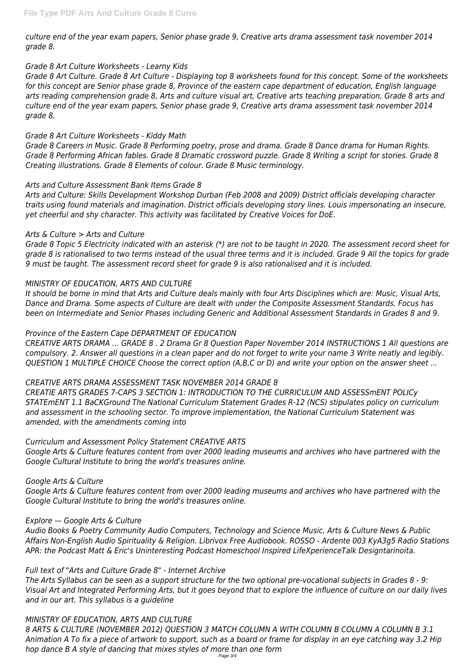*culture end of the year exam papers, Senior phase grade 9, Creative arts drama assessment task november 2014 grade 8.*

# *Grade 8 Art Culture Worksheets - Learny Kids*

*Grade 8 Art Culture. Grade 8 Art Culture - Displaying top 8 worksheets found for this concept. Some of the worksheets for this concept are Senior phase grade 8, Province of the eastern cape department of education, English language arts reading comprehension grade 8, Arts and culture visual art, Creative arts teaching preparation, Grade 8 arts and culture end of the year exam papers, Senior phase grade 9, Creative arts drama assessment task november 2014 grade 8.*

### *Grade 8 Art Culture Worksheets - Kiddy Math*

*Grade 8 Careers in Music. Grade 8 Performing poetry, prose and drama. Grade 8 Dance drama for Human Rights. Grade 8 Performing African fables. Grade 8 Dramatic crossword puzzle. Grade 8 Writing a script for stories. Grade 8 Creating illustrations. Grade 8 Elements of colour. Grade 8 Music terminology.*

### *Arts and Culture Assessment Bank Items Grade 8*

*Arts and Culture: Skills Development Workshop Durban (Feb 2008 and 2009) District officials developing character traits using found materials and imagination. District officials developing story lines. Louis impersonating an insecure, yet cheerful and shy character. This activity was facilitated by Creative Voices for DoE.*

### *Arts & Culture > Arts and Culture*

*Grade 8 Topic 5 Electricity indicated with an asterisk (\*) are not to be taught in 2020. The assessment record sheet for grade 8 is rationalised to two terms instead of the usual three terms and it is included. Grade 9 All the topics for grade 9 must be taught. The assessment record sheet for grade 9 is also rationalised and it is included.*

# *MINISTRY OF EDUCATION, ARTS AND CULTURE*

*It should be borne in mind that Arts and Culture deals mainly with four Arts Disciplines which are: Music, Visual Arts, Dance and Drama. Some aspects of Culture are dealt with under the Composite Assessment Standards. Focus has been on Intermediate and Senior Phases including Generic and Additional Assessment Standards in Grades 8 and 9.*

# *Province of the Eastern Cape DEPARTMENT OF EDUCATION*

*CREATIVE ARTS DRAMA ... GRADE 8 . 2 Drama Gr 8 Question Paper November 2014 INSTRUCTIONS 1 All questions are compulsory. 2. Answer all questions in a clean paper and do not forget to write your name 3 Write neatly and legibly. QUESTION 1 MULTIPLE CHOICE Choose the correct option (A,B,C or D) and write your option on the answer sheet ...*

# *CREATIVE ARTS DRAMA ASSESSMENT TASK NOVEMBER 2014 GRADE 8*

*CREATIE ARTS GRADES 7-CAPS 3 SECTION 1: INTRODUCTION TO THE CURRICULUM AND ASSESSmENT POLICy STATEmENT 1.1 BaCKGround The National Curriculum Statement Grades R-12 (NCS) stipulates policy on curriculum and assessment in the schooling sector. To improve implementation, the National Curriculum Statement was amended, with the amendments coming into*

# *Curriculum and Assessment Policy Statement CREATIVE ARTS*

*Google Arts & Culture features content from over 2000 leading museums and archives who have partnered with the Google Cultural Institute to bring the world's treasures online.*

# *Google Arts & Culture*

*Google Arts & Culture features content from over 2000 leading museums and archives who have partnered with the Google Cultural Institute to bring the world's treasures online.*

#### *Explore — Google Arts & Culture*

*Audio Books & Poetry Community Audio Computers, Technology and Science Music, Arts & Culture News & Public Affairs Non-English Audio Spirituality & Religion. Librivox Free Audiobook. ROSSO - Ardente 003 KyA3g5 Radio Stations APR: the Podcast Matt & Eric's Uninteresting Podcast Homeschool Inspired LifeXperienceTalk Designtarinoita.*

*Full text of "Arts and Culture Grade 8" - Internet Archive*

*The Arts Syllabus can be seen as a support structure for the two optional pre-vocational subjects in Grades 8 - 9: Visual Art and Integrated Performing Arts, but it goes beyond that to explore the influence of culture on our daily lives and in our art. This syllabus is a guideline*

#### *MINISTRY OF EDUCATION, ARTS AND CULTURE*

*8 ARTS & CULTURE (NOVEMBER 2012) QUESTION 3 MATCH COLUMN A WITH COLUMN B COLUMN A COLUMN B 3.1 Animation A To fix a piece of artwork to support, such as a board or frame for display in an eye catching way 3.2 Hip hop dance B A style of dancing that mixes styles of more than one form*